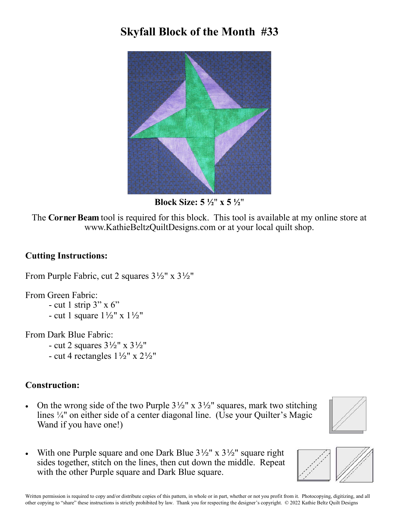## **Skyfall Block of the Month #33**



**Block Size: 5 ½**" **x 5 ½**"

The **Corner Beam** tool is required for this block. This tool is available at my online store at www.KathieBeltzQuiltDesigns.com or at your local quilt shop.

## **Cutting Instructions:**

From Purple Fabric, cut 2 squares 3½" x 3½"

From Green Fabric:

- cut 1 strip  $3"$  x 6"
- cut 1 square  $1\frac{1}{2}$ " x  $1\frac{1}{2}$ "

From Dark Blue Fabric:

- cut 2 squares  $3\frac{1}{2}$ " x  $3\frac{1}{2}$ "
- cut 4 rectangles  $1\frac{1}{2}$ " x  $2\frac{1}{2}$ "

## **Construction:**

• On the wrong side of the two Purple  $3\frac{1}{2}$ " x  $3\frac{1}{2}$ " squares, mark two stitching lines ¼" on either side of a center diagonal line. (Use your Quilter's Magic Wand if you have one!)



With one Purple square and one Dark Blue  $3\frac{1}{2}$ " x  $3\frac{1}{2}$ " square right sides together, stitch on the lines, then cut down the middle. Repeat with the other Purple square and Dark Blue square.

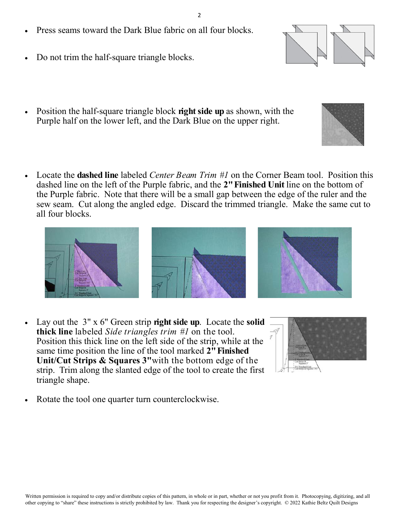- Press seams toward the Dark Blue fabric on all four blocks.
- Do not trim the half-square triangle blocks.
- Position the half-square triangle block **right side up** as shown, with the Purple half on the lower left, and the Dark Blue on the upper right.
- Locate the **dashed line** labeled *Center Beam Trim #1* on the Corner Beam tool. Position this dashed line on the left of the Purple fabric, and the **2" Finished Unit** line on the bottom of the Purple fabric. Note that there will be a small gap between the edge of the ruler and the sew seam. Cut along the angled edge. Discard the trimmed triangle. Make the same cut to all four blocks.

- Lay out the 3" x 6" Green strip **right side up**. Locate the **solid thick line** labeled *Side triangles trim #1* on the tool. Position this thick line on the left side of the strip, while at the same time position the line of the tool marked **2" Finished Unit/Cut Strips & Squares 3"**with the bottom edge of the strip. Trim along the slanted edge of the tool to create the first triangle shape.
	- Rotate the tool one quarter turn counterclockwise.







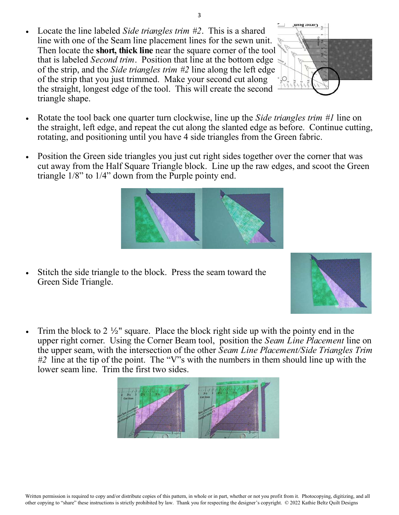Written permission is required to copy and/or distribute copies of this pattern, in whole or in part, whether or not you profit from it. Photocopying, digitizing, and all other copying to "share" these instructions is strictly prohibited by law. Thank you for respecting the designer's copyright. © 2022 Kathie Beltz Quilt Designs

- 3
- Locate the line labeled *Side triangles trim #2*. This is a shared line with one of the Seam line placement lines for the sewn unit. Then locate the **short, thick line** near the square corner of the tool that is labeled *Second trim*. Position that line at the bottom edge of the strip, and the *Side triangles trim #2* line along the left edge of the strip that you just trimmed. Make your second cut along the straight, longest edge of the tool. This will create the second triangle shape.
- Rotate the tool back one quarter turn clockwise, line up the *Side triangles trim #1* line on the straight, left edge, and repeat the cut along the slanted edge as before. Continue cutting, rotating, and positioning until you have 4 side triangles from the Green fabric.
- Position the Green side triangles you just cut right sides together over the corner that was cut away from the Half Square Triangle block. Line up the raw edges, and scoot the Green triangle 1/8" to 1/4" down from the Purple pointy end.

- Stitch the side triangle to the block. Press the seam toward the Green Side Triangle.
- Trim the block to 2  $\frac{1}{2}$ " square. Place the block right side up with the pointy end in the upper right corner. Using the Corner Beam tool, position the *Seam Line Placement* line on the upper seam, with the intersection of the other *Seam Line Placement/Side Triangles Trim #2* line at the tip of the point. The "V"s with the numbers in them should line up with the lower seam line. Trim the first two sides.





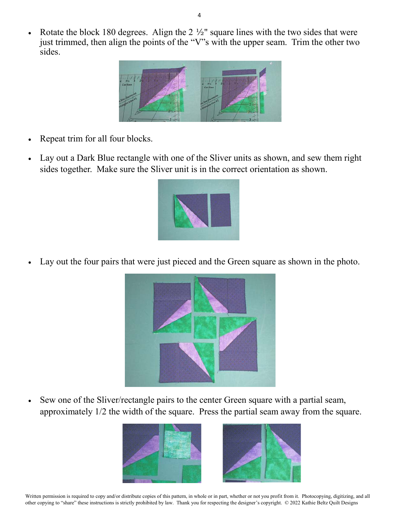Rotate the block 180 degrees. Align the 2 ½" square lines with the two sides that were just trimmed, then align the points of the "V"s with the upper seam. Trim the other two sides.



- Repeat trim for all four blocks.
- Lay out a Dark Blue rectangle with one of the Sliver units as shown, and sew them right sides together. Make sure the Sliver unit is in the correct orientation as shown.



Lay out the four pairs that were just pieced and the Green square as shown in the photo.



 Sew one of the Sliver/rectangle pairs to the center Green square with a partial seam, approximately 1/2 the width of the square. Press the partial seam away from the square.



Written permission is required to copy and/or distribute copies of this pattern, in whole or in part, whether or not you profit from it. Photocopying, digitizing, and all other copying to "share" these instructions is strictly prohibited by law. Thank you for respecting the designer's copyright. © 2022 Kathie Beltz Quilt Designs